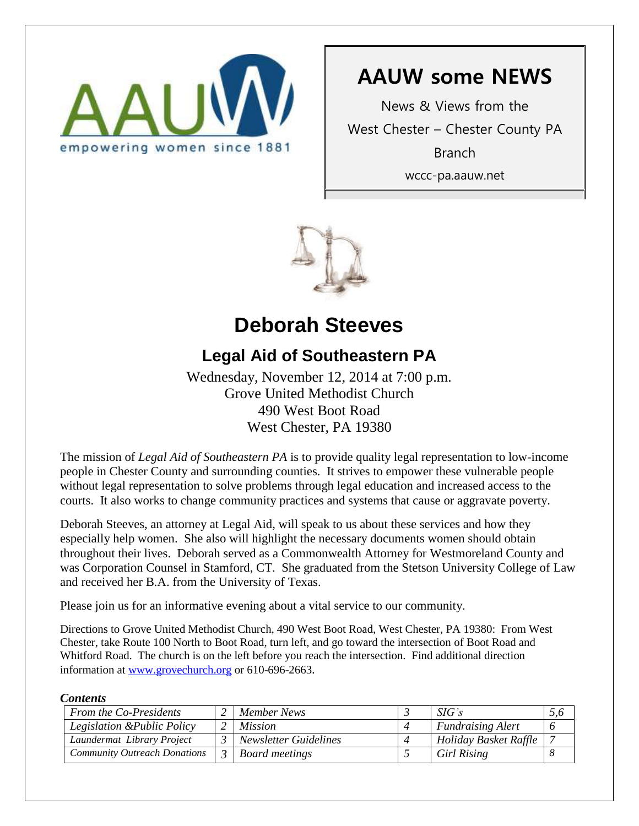

# **AAUW some NEWS**

News & Views from the West Chester – Chester County PA Branch wccc-pa.aauw.net



# **Deborah Steeves**

## **Legal Aid of Southeastern PA**

Wednesday, November 12, 2014 at 7:00 p.m. Grove United Methodist Church 490 West Boot Road West Chester, PA 19380

The mission of *Legal Aid of Southeastern PA* is to provide quality legal representation to low-income people in Chester County and surrounding counties. It strives to empower these vulnerable people without legal representation to solve problems through legal education and increased access to the courts. It also works to change community practices and systems that cause or aggravate poverty.

Deborah Steeves, an attorney at Legal Aid, will speak to us about these services and how they especially help women. She also will highlight the necessary documents women should obtain throughout their lives. Deborah served as a Commonwealth Attorney for Westmoreland County and was Corporation Counsel in Stamford, CT. She graduated from the Stetson University College of Law and received her B.A. from the University of Texas.

Please join us for an informative evening about a vital service to our community.

Directions to Grove United Methodist Church, 490 West Boot Road, West Chester, PA 19380: From West Chester, take Route 100 North to Boot Road, turn left, and go toward the intersection of Boot Road and Whitford Road. The church is on the left before you reach the intersection. Find additional direction information at [www.grovechurch.org](http://www.grovechurch.org/) or 610-696-2663.

### *Contents*

| <b>From the Co-Presidents</b>       | Member News                  | SIG's                    | 5,0 |
|-------------------------------------|------------------------------|--------------------------|-----|
| Legislation & Public Policy         | <i>Mission</i>               | <b>Fundraising Alert</b> |     |
| Laundermat Library Project          | <b>Newsletter Guidelines</b> | Holiday Basket Raffle    |     |
| <b>Community Outreach Donations</b> | Board meetings               | <b>Girl Rising</b>       |     |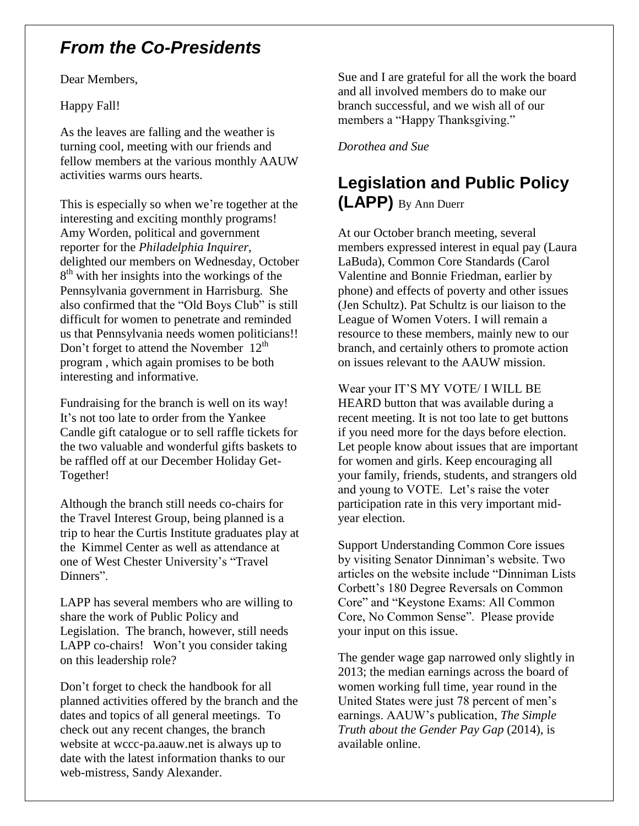## *From the Co-Presidents*

Dear Members,

Happy Fall!

As the leaves are falling and the weather is turning cool, meeting with our friends and fellow members at the various monthly AAUW activities warms ours hearts.

This is especially so when we're together at the interesting and exciting monthly programs! Amy Worden, political and government reporter for the *Philadelphia Inquirer*, delighted our members on Wednesday, October 8<sup>th</sup> with her insights into the workings of the Pennsylvania government in Harrisburg. She also confirmed that the "Old Boys Club" is still difficult for women to penetrate and reminded us that Pennsylvania needs women politicians!! Don't forget to attend the November  $12<sup>th</sup>$ program , which again promises to be both interesting and informative.

Fundraising for the branch is well on its way! It's not too late to order from the Yankee Candle gift catalogue or to sell raffle tickets for the two valuable and wonderful gifts baskets to be raffled off at our December Holiday Get-Together!

Although the branch still needs co-chairs for the Travel Interest Group, being planned is a trip to hear the Curtis Institute graduates play at the Kimmel Center as well as attendance at one of West Chester University's "Travel Dinners".

LAPP has several members who are willing to share the work of Public Policy and Legislation. The branch, however, still needs LAPP co-chairs! Won't you consider taking on this leadership role?

Don't forget to check the handbook for all planned activities offered by the branch and the dates and topics of all general meetings. To check out any recent changes, the branch website at wccc-pa.aauw.net is always up to date with the latest information thanks to our web-mistress, Sandy Alexander.

Sue and I are grateful for all the work the board and all involved members do to make our branch successful, and we wish all of our members a "Happy Thanksgiving."

*Dorothea and Sue*

## **Legislation and Public Policy (LAPP)** By Ann Duerr

At our October branch meeting, several members expressed interest in equal pay (Laura LaBuda), Common Core Standards (Carol Valentine and Bonnie Friedman, earlier by phone) and effects of poverty and other issues (Jen Schultz). Pat Schultz is our liaison to the League of Women Voters. I will remain a resource to these members, mainly new to our branch, and certainly others to promote action on issues relevant to the AAUW mission.

Wear your IT'S MY VOTE/ I WILL BE HEARD button that was available during a recent meeting. It is not too late to get buttons if you need more for the days before election. Let people know about issues that are important for women and girls. Keep encouraging all your family, friends, students, and strangers old and young to VOTE. Let's raise the voter participation rate in this very important midyear election.

Support Understanding Common Core issues by visiting Senator Dinniman's website. Two articles on the website include "Dinniman Lists Corbett's 180 Degree Reversals on Common Core" and "Keystone Exams: All Common Core, No Common Sense". Please provide your input on this issue.

The gender wage gap narrowed only slightly in 2013; the median earnings across the board of women working full time, year round in the United States were just 78 percent of men's earnings. AAUW's publication, *The Simple Truth about the Gender Pay Gap* (2014), is available online.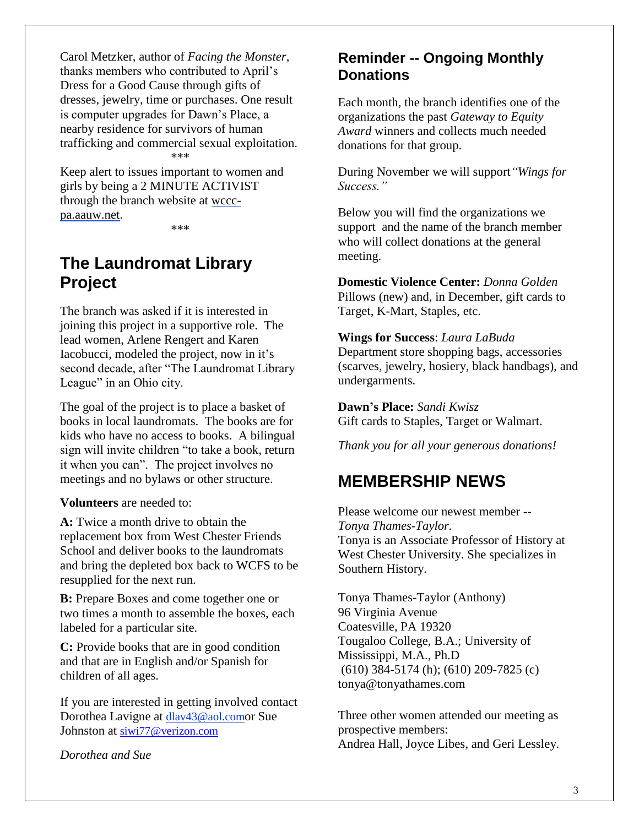Carol Metzker, author of *Facing the Monster*, thanks members who contributed to April's Dress for a Good Cause through gifts of dresses, jewelry, time or purchases. One result is computer upgrades for Dawn's Place, a nearby residence for survivors of human trafficking and commercial sexual exploitation. \*\*\*

Keep alert to issues important to women and girls by being a 2 MINUTE ACTIVIST through the branch website at [wccc](http://wccc-pa.aauw.net/)[pa.aauw.net.](http://wccc-pa.aauw.net/)

\*\*\*

## **The Laundromat Library Project**

The branch was asked if it is interested in joining this project in a supportive role. The lead women, Arlene Rengert and Karen Iacobucci, modeled the project, now in it's second decade, after "The Laundromat Library League" in an Ohio city.

The goal of the project is to place a basket of books in local laundromats. The books are for kids who have no access to books. A bilingual sign will invite children "to take a book, return it when you can". The project involves no meetings and no bylaws or other structure.

**Volunteers** are needed to:

**A:** Twice a month drive to obtain the replacement box from West Chester Friends School and deliver books to the laundromats and bring the depleted box back to WCFS to be resupplied for the next run.

**B:** Prepare Boxes and come together one or two times a month to assemble the boxes, each labeled for a particular site.

**C:** Provide books that are in good condition and that are in English and/or Spanish for children of all ages.

If you are interested in getting involved contact Dorothea Lavigne at [dlav43@aol.com](mailto:franpierce@verizon.net)or Sue Johnston at [siwi77@verizon.com](mailto:siwi77@verizon.com) 

*Dorothea and Sue*

### **Reminder -- Ongoing Monthly Donations**

Each month, the branch identifies one of the organizations the past *Gateway to Equity Award* winners and collects much needed donations for that group.

During November we will support*"Wings for Success."*

Below you will find the organizations we support and the name of the branch member who will collect donations at the general meeting.

**Domestic Violence Center:** *Donna Golden* Pillows (new) and, in December, gift cards to Target, K-Mart, Staples, etc.

### **Wings for Success**: *Laura LaBuda*

Department store shopping bags, accessories (scarves, jewelry, hosiery, black handbags), and undergarments.

**Dawn's Place:** *Sandi Kwisz* Gift cards to Staples, Target or Walmart.

*Thank you for all your generous donations!*

## **MEMBERSHIP NEWS**

Please welcome our newest member -- *Tonya Thames-Taylor.*  Tonya is an Associate Professor of History at West Chester University. She specializes in Southern History.

Tonya Thames-Taylor (Anthony) 96 Virginia Avenue Coatesville, PA 19320 Tougaloo College, B.A.; University of Mississippi, M.A., Ph.D (610) 384-5174 (h); (610) 209-7825 (c) tonya@tonyathames.com

Three other women attended our meeting as prospective members: Andrea Hall, Joyce Libes, and Geri Lessley.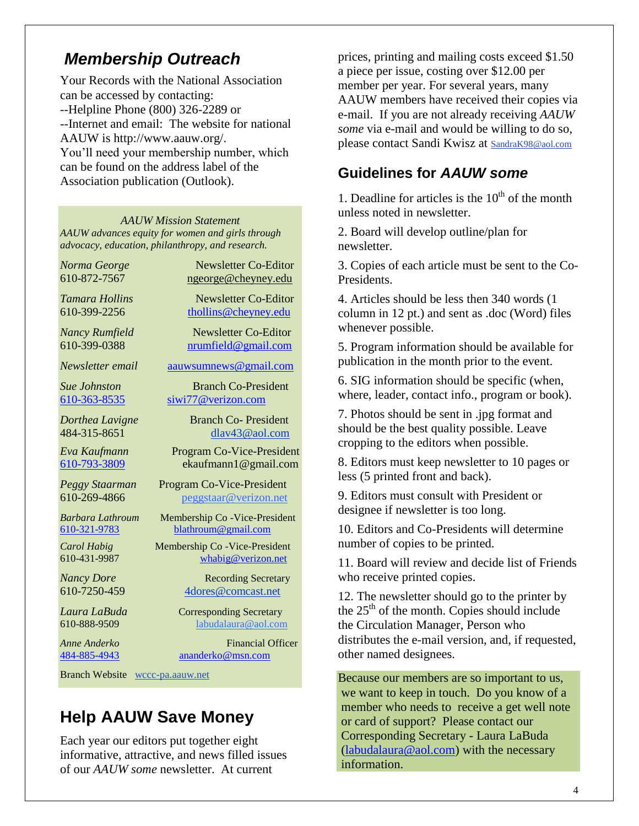## *Membership Outreach*

Your Records with the National Association can be accessed by contacting: --Helpline Phone (800) 326-2289 or --Internet and email: The website for national AAUW is http://www.aauw.org/. You'll need your membership number, which can be found on the address label of the Association publication (Outlook).

*AAUW Mission Statement AAUW advances equity for women and girls through advocacy, education, philanthropy, and research.*

*Norma George* Newsletter Co-Editor 610-872-7567 [ngeorge@cheyney.edu](mailto:ngeorge@cheyney.ecu)

*Tamara Hollins* Newsletter Co-Editor 610-399-2256 [thollins@cheyney.edu](mailto:thollins@cheyney.edu)

*Nancy Rumfield* **Newsletter Co-Editor** 610-399-0388 [nrumfield@gmail.com](mailto:nrumfield@gmail.com)

*Newsletter email* [aauwsumnews@gmail.com](mailto:aauwsumnews@gmail.com)

*Sue Johnston* Branch Co-President [610-363-8535](mailto:610-363-8535) [siwi77@verizon.com](mailto:siwi77@verizon.com) 

*Dorthea Lavigne* Branch Co- President 484-315-8651 [dlav43@aol.com](mailto:franpierce@verizon.net)

*Eva Kaufmann* Program Co-Vice-President [610-793-3809](mailto:610-793-3809) ekaufmann1@gmail.com

*Peggy Staarman* Program Co-Vice-President 610-269-4866 [peggstaar@verizon.net](mailto:4dores@comcast.net)

*Barbara Lathroum* Membership Co -Vice-President [610-321-9783](mailto:610-321-9783) [blathroum@gmail.com](mailto:blathroum@gmail.com)

*Carol Habig* Membership Co -Vice-President 610-431-9987 [whabig@verizon.net](mailto:mjschultz46@hotmail.com)

*Nancy Dore* Recording Secretary 610-7250-459 4dores@comcast.net

*Laura LaBuda* **Corresponding Secretary** 610-888-9509 labudalaura@aol.com

*Anne Anderko* Financial Officer [484-885-4943](mailto:484-885-4943) [ananderko@msn.com](mailto:ananderko@msn.com)

Branch Website [wccc-pa.aauw.net](http://wccc-pa.aauw.net/)

## **Help AAUW Save Money**

Each year our editors put together eight informative, attractive, and news filled issues of our *AAUW some* newsletter. At current

prices, printing and mailing costs exceed \$1.50 a piece per issue, costing over \$12.00 per member per year. For several years, many AAUW members have received their copies via e-mail. If you are not already receiving *AAUW some* via e-mail and would be willing to do so, please contact Sandi Kwisz at [SandraK98@aol.com](mailto:SandraK98@aol.com)

### **Guidelines for** *AAUW some*

1. Deadline for articles is the  $10<sup>th</sup>$  of the month unless noted in newsletter.

2. Board will develop outline/plan for newsletter.

3. Copies of each article must be sent to the Co-Presidents.

4. Articles should be less then 340 words (1 column in 12 pt.) and sent as .doc (Word) files whenever possible.

5. Program information should be available for publication in the month prior to the event.

6. SIG information should be specific (when, where, leader, contact info., program or book).

7. Photos should be sent in .jpg format and should be the best quality possible. Leave cropping to the editors when possible.

8. Editors must keep newsletter to 10 pages or less (5 printed front and back).

9. Editors must consult with President or designee if newsletter is too long.

10. Editors and Co-Presidents will determine number of copies to be printed.

11. Board will review and decide list of Friends who receive printed copies.

12. The newsletter should go to the printer by the  $25<sup>th</sup>$  of the month. Copies should include the Circulation Manager, Person who distributes the e-mail version, and, if requested, other named designees.

Because our members are so important to us, we want to keep in touch. Do you know of a member who needs to receive a get well note or card of support? Please contact our Corresponding Secretary - Laura LaBuda [\(labudalaura@aol.com\)](mailto:labudalaura@aol.com) with the necessary information.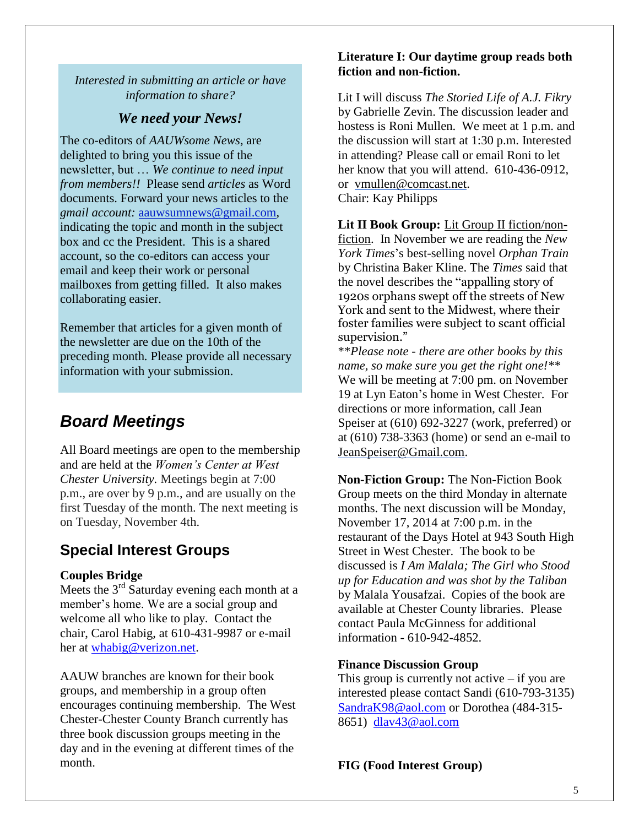#### *Interested in submitting an article or have information to share?*

### *We need your News!*

The co-editors of *AAUWsome News*, are delighted to bring you this issue of the newsletter, but … *We continue to need input from members!!* Please send *articles* as Word documents. Forward your news articles to the *gmail account:* [aauwsumnews@gmail.com,](mailto:aauwsum@gmail.com) indicating the topic and month in the subject box and cc the President. This is a shared account, so the co-editors can access your email and keep their work or personal mailboxes from getting filled. It also makes collaborating easier.

Remember that articles for a given month of the newsletter are due on the 10th of the preceding month*.* Please provide all necessary information with your submission.

## *Board Meetings*

All Board meetings are open to the membership and are held at the *Women's Center at West Chester University.* Meetings begin at 7:00 p.m., are over by 9 p.m., and are usually on the first Tuesday of the month. The next meeting is on Tuesday, November 4th.

### **Special Interest Groups**

### **Couples Bridge**

Meets the  $3<sup>rd</sup>$  Saturday evening each month at a member's home. We are a social group and welcome all who like to play. Contact the chair, Carol Habig, at 610-431-9987 or e-mail her at [whabig@verizon.net.](mailto:whabig@verizon.net)

AAUW branches are known for their book groups, and membership in a group often encourages continuing membership. The West Chester-Chester County Branch currently has three book discussion groups meeting in the day and in the evening at different times of the month.

#### **Literature I: Our daytime group reads both fiction and non-fiction.**

Lit I will discuss *The Storied Life of A.J. Fikry* by Gabrielle Zevin. The discussion leader and hostess is Roni Mullen. We meet at 1 p.m. and the discussion will start at 1:30 p.m. Interested in attending? Please call or email Roni to let her know that you will attend. 610-436-0912, or [vmullen@comcast.net.](mailto:vmullen@comcast.net) Chair: Kay Philipps

**Lit II Book Group:** Lit Group II fiction/nonfiction. In November we are reading the *New York Times*'s best-selling novel *Orphan Train* by Christina Baker Kline. The *Times* said that the novel describes the "appalling story of 1920s orphans swept off the streets of New York and sent to the Midwest, where their foster families were subject to scant official supervision."

\*\**Please note - there are other books by this name, so make sure you get the right one!\*\** We will be meeting at 7:00 pm. on November 19 at Lyn Eaton's home in West Chester. For directions or more information, call Jean Speiser at (610) 692-3227 (work, preferred) or at (610) 738-3363 (home) or send an e-mail to [JeanSpeiser@Gmail.com.](mailto:JeanSpeiser@Gmail.com)

**Non-Fiction Group:** The Non-Fiction Book Group meets on the third Monday in alternate months. The next discussion will be Monday, November 17, 2014 at 7:00 p.m. in the restaurant of the Days Hotel at 943 South High Street in West Chester. The book to be discussed is *I Am Malala; The Girl who Stood up for Education and was shot by the Taliban* by Malala Yousafzai. Copies of the book are available at Chester County libraries. Please contact Paula McGinness for additional information - 610-942-4852.

### **Finance Discussion Group**

This group is currently not active  $-$  if you are interested please contact Sandi (610-793-3135) [SandraK98@aol.com](mailto:SandraK98@aol.com) or Dorothea (484-315- 8651) [dlav43@aol.com](mailto:dlav43@aol.com)

**FIG (Food Interest Group)**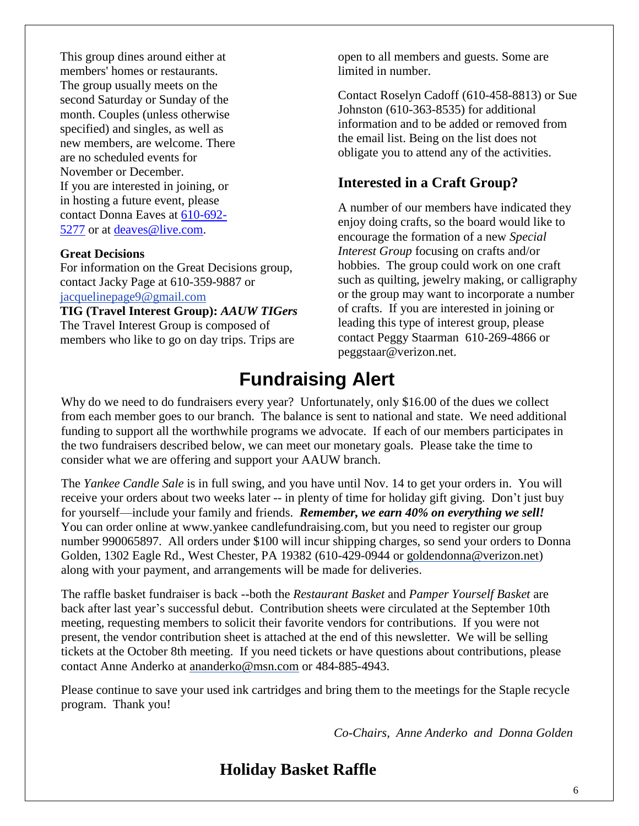This group dines around either at members' homes or restaurants. The group usually meets on the second Saturday or Sunday of the month. Couples (unless otherwise specified) and singles, as well as new members, are welcome. There are no scheduled events for November or December. If you are interested in joining, or in hosting a future event, please contact Donna Eaves at [610-692-](tel:610-692-5277) [5277](tel:610-692-5277) or at [deaves@live.com.](mailto:deaves@live.com)

#### **Great Decisions**

For information on the Great Decisions group, contact Jacky Page at 610-359-9887 or [jacquelinepage9@gmail.com](mailto:jacquelinepage9@gmail.com)

**TIG (Travel Interest Group):** *AAUW TIGers* The Travel Interest Group is composed of members who like to go on day trips. Trips are

open to all members and guests. Some are limited in number.

Contact Roselyn Cadoff (610-458-8813) or Sue Johnston (610-363-8535) for additional information and to be added or removed from the email list. Being on the list does not obligate you to attend any of the activities.

### **Interested in a Craft Group?**

A number of our members have indicated they enjoy doing crafts, so the board would like to encourage the formation of a new *Special Interest Group* focusing on crafts and/or hobbies. The group could work on one craft such as quilting, jewelry making, or calligraphy or the group may want to incorporate a number of crafts. If you are interested in joining or leading this type of interest group, please contact Peggy Staarman 610-269-4866 or peggstaar@verizon.net.

## **Fundraising Alert**

Why do we need to do fundraisers every year? Unfortunately, only \$16.00 of the dues we collect from each member goes to our branch. The balance is sent to national and state. We need additional funding to support all the worthwhile programs we advocate. If each of our members participates in the two fundraisers described below, we can meet our monetary goals. Please take the time to consider what we are offering and support your AAUW branch.

The *Yankee Candle Sale* is in full swing, and you have until Nov. 14 to get your orders in. You will receive your orders about two weeks later -- in plenty of time for holiday gift giving. Don't just buy for yourself—include your family and friends. *Remember, we earn 40% on everything we sell!* You can order online at www.yankee candlefundraising.com, but you need to register our group number 990065897. All orders under \$100 will incur shipping charges, so send your orders to Donna Golden, 1302 Eagle Rd., West Chester, PA 19382 (610-429-0944 or [goldendonna@verizon.net\)](mailto:goldendonna@verizon.net) along with your payment, and arrangements will be made for deliveries.

The raffle basket fundraiser is back --both the *Restaurant Basket* and *Pamper Yourself Basket* are back after last year's successful debut. Contribution sheets were circulated at the September 10th meeting, requesting members to solicit their favorite vendors for contributions. If you were not present, the vendor contribution sheet is attached at the end of this newsletter. We will be selling tickets at the October 8th meeting. If you need tickets or have questions about contributions, please contact Anne Anderko at [ananderko@msn.com](mailto:ananderko@msn.com) or 484-885-4943.

Please continue to save your used ink cartridges and bring them to the meetings for the Staple recycle program. Thank you!

*Co-Chairs, Anne Anderko and Donna Golden*

## **Holiday Basket Raffle**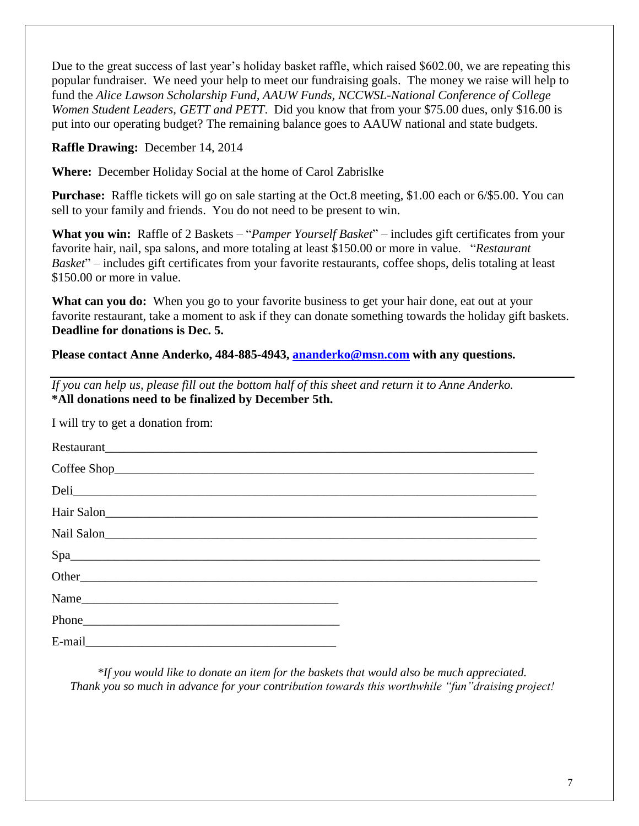Due to the great success of last year's holiday basket raffle, which raised \$602.00, we are repeating this popular fundraiser. We need your help to meet our fundraising goals. The money we raise will help to fund the *Alice Lawson Scholarship Fund, AAUW Funds, NCCWSL-National Conference of College Women Student Leaders, GETT and PETT*. Did you know that from your \$75.00 dues, only \$16.00 is put into our operating budget? The remaining balance goes to AAUW national and state budgets.

**Raffle Drawing:** December 14, 2014

**Where:** December Holiday Social at the home of Carol Zabrislke

**Purchase:** Raffle tickets will go on sale starting at the Oct.8 meeting, \$1.00 each or 6/\$5.00. You can sell to your family and friends. You do not need to be present to win.

**What you win:** Raffle of 2 Baskets – "*Pamper Yourself Basket*" – includes gift certificates from your favorite hair, nail, spa salons, and more totaling at least \$150.00 or more in value. "*Restaurant Basket*" – includes gift certificates from your favorite restaurants, coffee shops, delis totaling at least \$150.00 or more in value.

**What can you do:** When you go to your favorite business to get your hair done, eat out at your favorite restaurant, take a moment to ask if they can donate something towards the holiday gift baskets. **Deadline for donations is Dec. 5.**

**Please contact Anne Anderko, 484-885-4943, [ananderko@msn.com](mailto:ananderko@msn.com) with any questions.** 

*If you can help us, please fill out the bottom half of this sheet and return it to Anne Anderko.* **\*All donations need to be finalized by December 5th.**

I will try to get a donation from:

| Spa |  |
|-----|--|
|     |  |
|     |  |
|     |  |
|     |  |

*\*If you would like to donate an item for the baskets that would also be much appreciated. Thank you so much in advance for your contribution towards this worthwhile "fun"draising project!*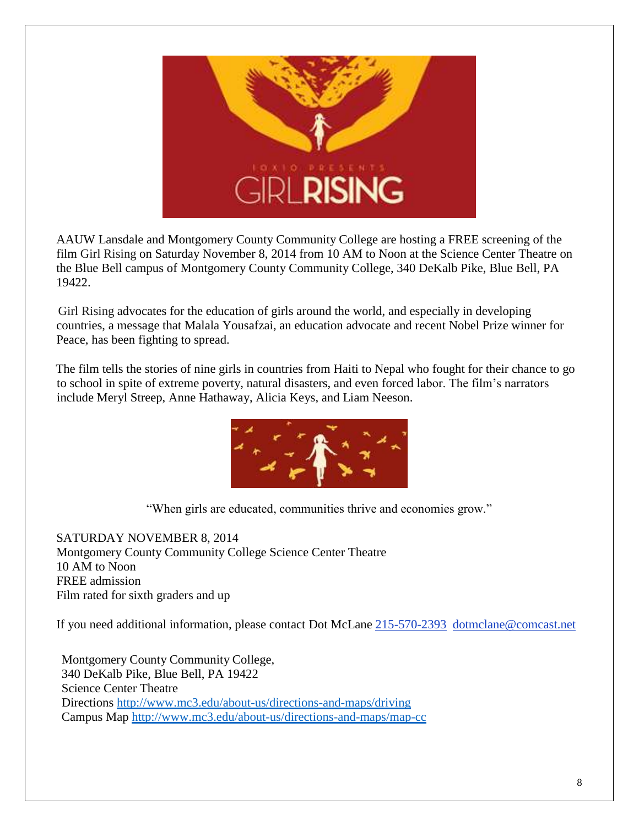

AAUW Lansdale and Montgomery County Community College are hosting a FREE screening of the film Girl Rising on Saturday November 8, 2014 from 10 AM to Noon at the Science Center Theatre on the Blue Bell campus of Montgomery County Community College, 340 DeKalb Pike, Blue Bell, PA 19422.

Girl Rising advocates for the education of girls around the world, and especially in developing countries, a message that Malala Yousafzai, an education advocate and recent Nobel Prize winner for Peace, has been fighting to spread.

The film tells the stories of nine girls in countries from Haiti to Nepal who fought for their chance to go to school in spite of extreme poverty, natural disasters, and even forced labor. The film's narrators include Meryl Streep, Anne Hathaway, Alicia Keys, and Liam Neeson.



"When girls are educated, communities thrive and economies grow."

SATURDAY NOVEMBER 8, 2014 Montgomery County Community College Science Center Theatre 10 AM to Noon FREE admission Film rated for sixth graders and up

If you need additional information, please contact Dot McLane [215-570-2393](tel:/215-570-2393) [dotmclane@comcast.net](mailto:dotmclane@comcast.net)

Montgomery County Community College, 340 DeKalb Pike, Blue Bell, PA 19422 Science Center Theatre Directions<http://www.mc3.edu/about-us/directions-and-maps/driving> Campus Map<http://www.mc3.edu/about-us/directions-and-maps/map-cc>